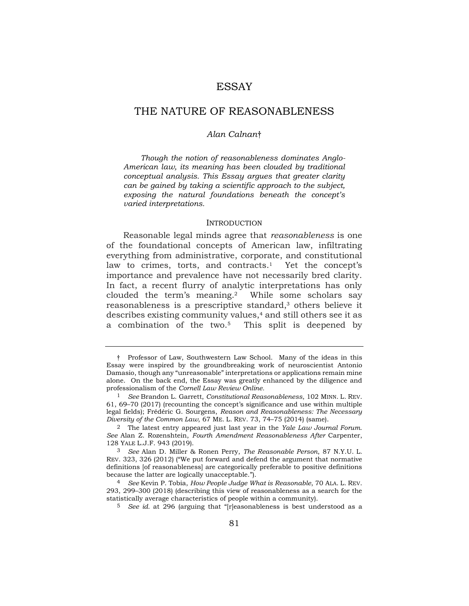# **ESSAY**

# THE NATURE OF REASONABLENESS

### *Alan Calnan*†

 *Though the notion of reasonableness dominates Anglo- American law, its meaning has been clouded by traditional can be gained by taking a scientific approach to the subject, exposing the natural foundations beneath the concept's conceptual analysis. This Essay argues that greater clarity varied interpretations.* 

### <span id="page-0-0"></span>INTRODUCTION

 Reasonable legal minds agree that *reasonableness* is one of the foundational concepts of American law, infiltrating everything from administrative, corporate, and constitutional law to crimes, torts, and contracts.<sup>1</sup> Yet the concept's importance and prevalence have not necessarily bred clarity. In fact, a recent flurry of analytic interpretations has only reasonableness is a prescriptive standard,<sup>3</sup> others believe it describes existing community values,<sup>4</sup> and still others see it as a combination of the two.5 This split is deepened by clouded the term's meaning.2 While some scholars say

 † Professor of Law, Southwestern Law School. Many of the ideas in this Essay were inspired by the groundbreaking work of neuroscientist Antonio Damasio, though any "unreasonable" interpretations or applications remain mine alone. On the back end, the Essay was greatly enhanced by the diligence and professionalism of the *Cornell Law Review Online.* 

 1 *See* Brandon L. Garrett, *Constitutional Reasonableness*, 102 MINN. L. REV. 61, 69–70 (2017) (recounting the concept's significance and use within multiple legal fields); Frédéric G. Sourgens, *Reason and Reasonableness: The Necessary Diversity of the Common Law*, 67 ME. L. REV. 73, 74–75 (2014) (same).

 2 The latest entry appeared just last year in the *Yale Law Journal Forum*.  *See* Alan Z. Rozenshtein, *Fourth Amendment Reasonableness After* Carpenter, 128 YALE L.J.F. 943 (2019).

 3 *See* Alan D. Miller & Ronen Perry, *The Reasonable Person*, 87 N.Y.U. L. definitions [of reasonableness] are categorically preferable to positive definitions because the latter are logically unacceptable."). REV. 323, 326 (2012) ("We put forward and defend the argument that normative

 4 *See* Kevin P. Tobia, *How People Judge What is Reasonable*, 70 ALA. L. REV. 293, 299–300 (2018) (describing this view of reasonableness as a search for the statistically average characteristics of people within a community).

<sup>&</sup>lt;sup>5</sup> *See id.* at 296 (arguing that "[r]easonableness is best understood as a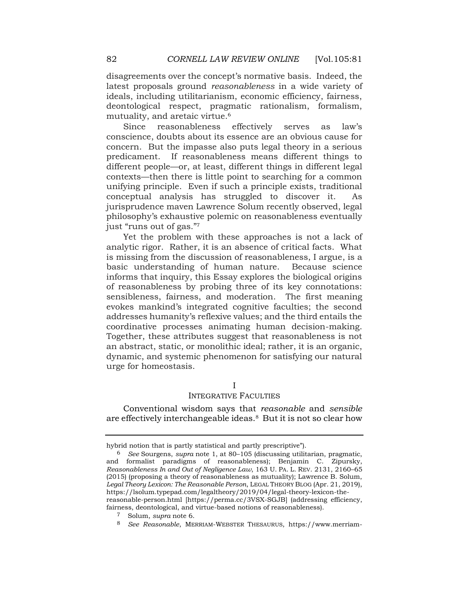disagreements over the concept's normative basis. Indeed, the latest proposals ground *reasonableness* in a wide variety of ideals, including utilitarianism, economic efficiency, fairness, deontological respect, pragmatic rationalism, formalism, mutuality, and aretaic virtue.6

<span id="page-1-0"></span> conscience, doubts about its essence are an obvious cause for concern. But the impasse also puts legal theory in a serious contexts—then there is little point to searching for a common unifying principle. Even if such a principle exists, traditional conceptual analysis has struggled to discover it. As jurisprudence maven Lawrence Solum recently observed, legal Since reasonableness effectively serves as law's predicament. If reasonableness means different things to different people—or, at least, different things in different legal philosophy's exhaustive polemic on reasonableness eventually just "runs out of gas."<sup>7</sup>

 Yet the problem with these approaches is not a lack of analytic rigor. Rather, it is an absence of critical facts. What is missing from the discussion of reasonableness, I argue, is a basic understanding of human nature. Because science informs that inquiry, this Essay explores the biological origins of reasonableness by probing three of its key connotations: sensibleness, fairness, and moderation. The first meaning evokes mankind's integrated cognitive faculties; the second addresses humanity's reflexive values; and the third entails the coordinative processes animating human decision-making. Together, these attributes suggest that reasonableness is not an abstract, static, or monolithic ideal; rather, it is an organic, dynamic, and systemic phenomenon for satisfying our natural urge for homeostasis.

# I

# INTEGRATIVE FACULTIES

 Conventional wisdom says that *reasonable* and *sensible*  are effectively interchangeable ideas.8 But it is not so clear how

 hybrid notion that is partly statistical and partly prescriptive").

 and formalist paradigms of reasonableness); Benjamin C. Zipursky,  *Reasonableness In and Out of Negligence Law*, 163 U. PA. L. REV. 2131, 2160–65 (2015) (proposing a theory of reasonableness as mutuality); Lawrence B. Solum,  *Legal Theory Lexicon: The Reasonable Person*, LEGAL THEORY BLOG (Apr. 21, 2019), fairness, deontological, and virtue-based notions of reasonableness). 6 *See* Sourgens, *supra* note [1,](#page-0-0) at 80–105 (discussing utilitarian, pragmatic, <https://lsolum.typepad.com/legaltheory/2019/04/legal-theory-lexicon-the>reasonable-person.html [[https://perma.cc/3VSX-SGJB\]](https://perma.cc/3VSX-SGJB) (addressing efficiency,

<sup>7</sup> Solum, *supra* note [6.](#page-1-0)

<sup>8</sup> *See Reasonable*, MERRIAM-WEBSTER THESAURUS, [https://www.merriam-](https://www.merriam)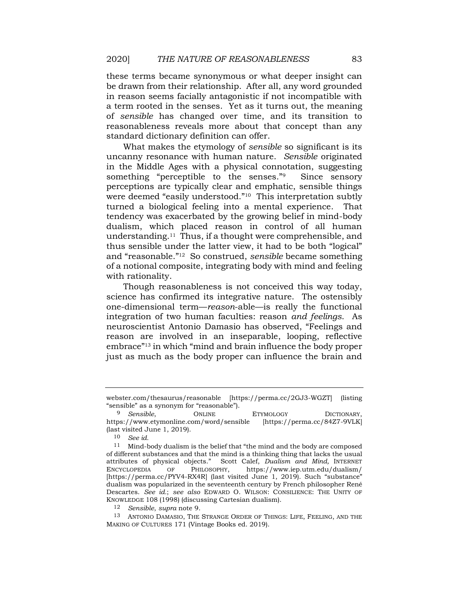be drawn from their relationship. After all, any word grounded in reason seems facially antagonistic if not incompatible with a term rooted in the senses. Yet as it turns out, the meaning of *sensible* has changed over time, and its transition to reasonableness reveals more about that concept than any standard dictionary definition can offer. these terms became synonymous or what deeper insight can

<span id="page-2-0"></span> What makes the etymology of *sensible* so significant is its uncanny resonance with human nature. *Sensible* originated in the Middle Ages with a physical connotation, suggesting something "perceptible to the senses."<sup>9</sup> Since sensory perceptions are typically clear and emphatic, sensible things turned a biological feeling into a mental experience. That tendency was exacerbated by the growing belief in mind-body dualism, which placed reason in control of all human [understanding.11](https://understanding.11) Thus, if a thought were comprehensible, and thus sensible under the latter view, it had to be both "logical" of a notional composite, integrating body with mind and feeling were deemed "easily understood."<sup>10</sup> This interpretation subtly and "reasonable."12 So construed, *sensible* became something with rationality.

 Though reasonableness is not conceived this way today, one-dimensional term—*reason*-able—is really the functional integration of two human faculties: reason *and feelings*. As neuroscientist Antonio Damasio has observed, "Feelings and reason are involved in an inseparable, looping, reflective embrace"13 in which "mind and brain influence the body proper just as much as the body proper can influence the brain and science has confirmed its integrative nature. The ostensibly

12 *Sensible*, *supra* note [9.](#page-2-0)

<span id="page-2-1"></span> [webster.com/thesaurus/reasonable](https://webster.com/thesaurus/reasonable) [\[https://perma.cc/2GJ3-WGZT\]](https://perma.cc/2GJ3-WGZT) (listing "sensible" as a synonym for "reasonable").

 (last visited June 1, 2019). <sup>9</sup> *Sensible*, **ONLINE** ETYMOLOGY **DICTIONARY**, <https://www.etymonline.com/word/sensible> [[https://perma.cc/84Z7-9VLK\]](https://perma.cc/84Z7-9VLK)

<sup>10</sup> *See id.* 

 $11$  Mind-body dualism is the belief that "the mind and the body are composed of different substances and that the mind is a thinking thing that lacks the usual attributes of physical objects." Scott Calef, *Dualism and Mind,* INTERNET [\[https://perma.cc/PYV4-RX4R](https://perma.cc/PYV4-RX4R)] (last visited June 1, 2019). Such "substance" dualism was popularized in the seventeenth century by French philosopher René  Descartes. *See id.*; *see also* EDWARD O. WILSON: CONSILIENCE: THE UNITY OF ENCYCLOPEDIA OF PHILOSOPHY, <https://www.iep.utm.edu/dualism>/ KNOWLEDGE 108 (1998) (discussing Cartesian dualism).

 13 ANTONIO DAMASIO, THE STRANGE ORDER OF THINGS: LIFE, FEELING, AND THE MAKING OF CULTURES 171 (Vintage Books ed. 2019).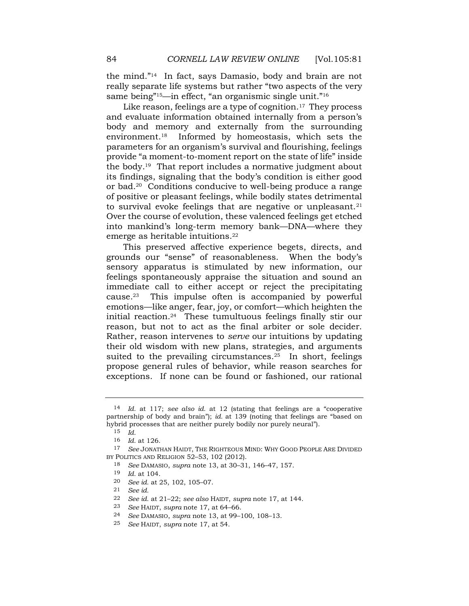the mind."14 In fact, says Damasio, body and brain are not really separate life systems but rather "two aspects of the very same being"<sup>15</sup>—in effect, "an organismic single unit."<sup>16</sup>

<span id="page-3-0"></span>Like reason, feelings are a type of cognition.<sup>17</sup> They process and evaluate information obtained internally from a person's body and memory and externally from the surrounding [environment.18](https://environment.18) Informed by homeostasis, which sets the parameters for an organism's survival and flourishing, feelings provide "a moment-to-moment report on the state of life" inside its findings, signaling that the body's condition is either good or bad.20 Conditions conducive to well-being produce a range of positive or pleasant feelings, while bodily states detrimental to survival evoke feelings that are negative or unpleasant. $21$  Over the course of evolution, these valenced feelings get etched into mankind's long-term memory bank—DNA—where they the body.19 That report includes a normative judgment about emerge as heritable [intuitions.22](https://intuitions.22)

 This preserved affective experience begets, directs, and grounds our "sense" of reasonableness. When the body's sensory apparatus is stimulated by new information, our feelings spontaneously appraise the situation and sound an immediate call to either accept or reject the precipitating [cause.23](https://cause.23) This impulse often is accompanied by powerful emotions—like anger, fear, joy, or comfort—which heighten the initial [reaction.24](https://reaction.24) These tumultuous feelings finally stir our reason, but not to act as the final arbiter or sole decider. Rather, reason intervenes to *serve* our intuitions by updating their old wisdom with new plans, strategies, and arguments suited to the prevailing circumstances.<sup>25</sup> In short, feelings propose general rules of behavior, while reason searches for exceptions. If none can be found or fashioned, our rational

 partnership of body and brain"); *id.* at 139 (noting that feelings are "based on hybrid processes that are neither purely bodily nor purely neural"). 14 *Id.* at 117; *see also id.* at 12 (stating that feelings are a "cooperative

<sup>15</sup> *Id.* 

<sup>16</sup> *Id.* at 126.

 BY POLITICS AND RELIGION 52–53, 102 (2012). 17 *See* JONATHAN HAIDT, THE RIGHTEOUS MIND: WHY GOOD PEOPLE ARE DIVIDED

<sup>18</sup> *See* DAMASIO, *supra* note [13,](#page-2-1) at 30–31, 146–47, 157.

<sup>19</sup> *Id.* at 104.

 20 *See id.* at 25, 102, 105–07.

<sup>21</sup> *See id.* 

<sup>22</sup> *See id.* at 21–22; *see also* HAIDT, *supra* note [17,](#page-3-0) at 144.

<sup>23</sup> *See* HAIDT, *supra* note [17,](#page-3-0) at 64–66.

<sup>24</sup> *See* DAMASIO, *supra* note [13,](#page-2-1) at 99–100, 108–13.

 25 *See* HAIDT, *supra* note [17,](#page-3-0) at 54.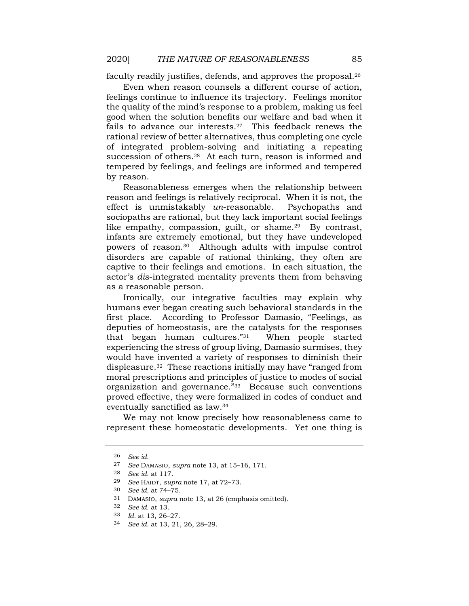faculty readily justifies, defends, and approves the proposal.<sup>26</sup>

 Even when reason counsels a different course of action, feelings continue to influence its trajectory. Feelings monitor the quality of the mind's response to a problem, making us feel good when the solution benefits our welfare and bad when it fails to advance our interests.<sup>27</sup> This feedback renews the rational review of better alternatives, thus completing one cycle of integrated problem-solving and initiating a repeating succession of others.<sup>28</sup> At each turn, reason is informed and tempered by feelings, and feelings are informed and tempered by reason.

 Reasonableness emerges when the relationship between reason and feelings is relatively reciprocal. When it is not, the sociopaths are rational, but they lack important social feelings like empathy, compassion, guilt, or shame.<sup>29</sup> By contrast, infants are extremely emotional, but they have undeveloped powers of [reason.30](https://reason.30) Although adults with impulse control disorders are capable of rational thinking, they often are captive to their feelings and emotions. In each situation, the actor's *dis*-integrated mentality prevents them from behaving effect is unmistakably *un*-reasonable. Psychopaths and as a reasonable person.

 Ironically, our integrative faculties may explain why humans ever began creating such behavioral standards in the first place. According to Professor Damasio, "Feelings, as deputies of homeostasis, are the catalysts for the responses that began human cultures."31 When people started experiencing the stress of group living, Damasio surmises, they would have invented a variety of responses to diminish their [displeasure.32](https://displeasure.32) These reactions initially may have "ranged from moral prescriptions and principles of justice to modes of social organization and governance."<sup>33</sup> Because such conventions proved effective, they were formalized in codes of conduct and eventually sanctified as law.34

 We may not know precisely how reasonableness came to represent these homeostatic developments. Yet one thing is

<sup>26</sup> *See id.* 

<sup>27</sup> *See* DAMASIO, *supra* note [13,](#page-2-1) at 15–16, 171.

<sup>28</sup> *See id.* at 117.

 29 *See* HAIDT, *supra* note [17,](#page-3-0) at 72–73.

<sup>30</sup> *See id.* at 74–75.

 31 DAMASIO, *supra* note [13,](#page-2-1) at 26 (emphasis omitted).

<sup>32</sup> *See id.* at 13.

<sup>33</sup> *Id.* at 13, 26–27.

 34 *See id.* at 13, 21, 26, 28–29.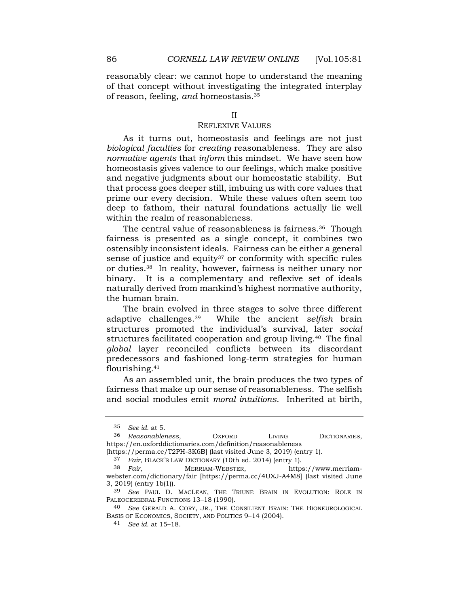reasonably clear: we cannot hope to understand the meaning of that concept without investigating the integrated interplay of reason, feeling, *and* [homeostasis.35](https://homeostasis.35)

### REFLEXIVE VALUES

 As it turns out, homeostasis and feelings are not just *biological faculties* for *creating* reasonableness. They are also *normative agents* that *inform* this mindset. We have seen how homeostasis gives valence to our feelings, which make positive that process goes deeper still, imbuing us with core values that prime our every decision. While these values often seem too deep to fathom, their natural foundations actually lie well within the realm of reasonableness. and negative judgments about our homeostatic stability. But

The central value of reasonableness is fairness.<sup>36</sup> Though fairness is presented as a single concept, it combines two ostensibly inconsistent ideals. Fairness can be either a general sense of justice and equity $37$  or conformity with specific rules or [duties.38](https://duties.38) In reality, however, fairness is neither unary nor binary. It is a complementary and reflexive set of ideals naturally derived from mankind's highest normative authority, the human brain.

<span id="page-5-0"></span> The brain evolved in three stages to solve three different adaptive [challenges.39](https://challenges.39) While the ancient *selfish* brain structures facilitated cooperation and group living.<sup>40</sup> The final *global* layer reconciled conflicts between its discordant predecessors and fashioned long-term strategies for human structures promoted the individual's survival, later *social*  [flourishing.41](https://flourishing.41)

 As an assembled unit, the brain produces the two types of fairness that make up our sense of reasonableness. The selfish and social modules emit *moral intuitions*. Inherited at birth,

<sup>35</sup> *See id.* at 5.

<sup>36</sup> *Reasonableness*, OXFORD LIVING DICTIONARIES, <https://en.oxforddictionaries.com/definition/reasonableness>

 [\[https://perma.cc/T2PH-3K6B](https://perma.cc/T2PH-3K6B)] (last visited June 3, 2019) (entry 1).

 37 *Fair*, BLACK'S LAW DICTIONARY (10th ed. 2014) (entry 1).

 3, 2019) (entry 1b(1)). 38 *Fair*, MERRIAM-WEBSTER, <https://www.merriam>[webster.com/dictionary/fair](https://webster.com/dictionary/fair) [<https://perma.cc/4UXJ-A4M8>] (last visited June

<sup>39</sup> *See* PAUL D. MACLEAN, THE TRIUNE BRAIN IN EVOLUTION: ROLE IN PALEOCEREBRAL FUNCTIONS 13-18 (1990).

<sup>40</sup> *See* GERALD A. CORY, JR., THE CONSILIENT BRAIN: THE BIONEUROLOGICAL BASIS OF ECONOMICS, SOCIETY, AND POLITICS 9–14 (2004).

<sup>41</sup> *See id.* at 15–18.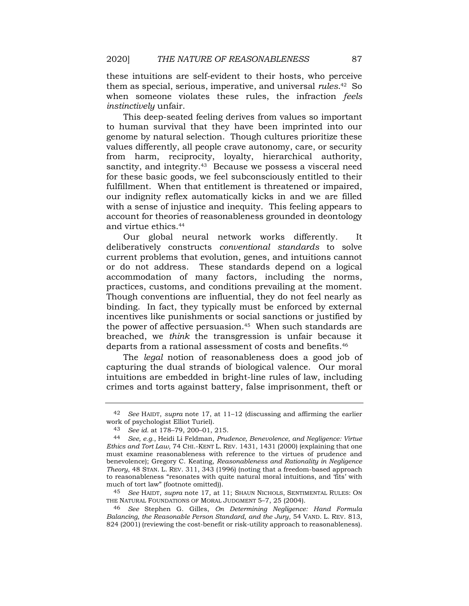these intuitions are self-evident to their hosts, who perceive them as special, serious, imperative, and universal *[rules](https://rules.42)*.42 So when someone violates these rules, the infraction *feels instinctively* unfair.

 This deep-seated feeling derives from values so important to human survival that they have been imprinted into our genome by natural selection. Though cultures prioritize these values differently, all people crave autonomy, care, or security from harm, reciprocity, loyalty, hierarchical authority, sanctity, and integrity.<sup>43</sup> Because we possess a visceral need for these basic goods, we feel subconsciously entitled to their fulfillment. When that entitlement is threatened or impaired, our indignity reflex automatically kicks in and we are filled with a sense of injustice and inequity. This feeling appears to account for theories of reasonableness grounded in deontology and virtue [ethics.44](https://ethics.44)

 Our global neural network works differently. It current problems that evolution, genes, and intuitions cannot or do not address. These standards depend on a logical accommodation of many factors, including the norms, practices, customs, and conditions prevailing at the moment. Though conventions are influential, they do not feel nearly as binding. In fact, they typically must be enforced by external incentives like punishments or social sanctions or justified by the power of affective persuasion.<sup>45</sup> When such standards are breached, we *think* the transgression is unfair because it departs from a rational assessment of costs and benefits.<sup>46</sup> deliberatively constructs *conventional standards* to solve

 The *legal* notion of reasonableness does a good job of capturing the dual strands of biological valence. Our moral intuitions are embedded in bright-line rules of law, including crimes and torts against battery, false imprisonment, theft or

 45 *See* HAIDT, *supra* note [17,](#page-3-0) at 11; SHAUN NICHOLS, SENTIMENTAL RULES: ON THE NATURAL FOUNDATIONS OF MORAL JUDGMENT 5–7, 25 (2004).

 46 *See* Stephen G. Gilles, *On Determining Negligence: Hand Formula Balancing, the Reasonable Person Standard, and the Jury*, 54 VAND. L. REV. 813, 824 (2001) (reviewing the cost-benefit or risk-utility approach to reasonableness).

 42 *See* HAIDT, *supra* note [17,](#page-3-0) at 11–12 (discussing and affirming the earlier work of psychologist Elliot Turiel).

 43 *See id.* at 178–79, 200–01, 215.

 44 *See, e.g.*, Heidi Li Feldman, *Prudence, Benevolence, and Negligence: Virtue Ethics and Tort Law*, 74 CHI.-KENT L. REV. 1431, 1431 (2000) (explaining that one must examine reasonableness with reference to the virtues of prudence and benevolence); Gregory C. Keating, *Reasonableness and Rationality in Negligence Theory*, 48 STAN. L. REV. 311, 343 (1996) (noting that a freedom-based approach to reasonableness "resonates with quite natural moral intuitions, and 'fits' with much of tort law" (footnote omitted)).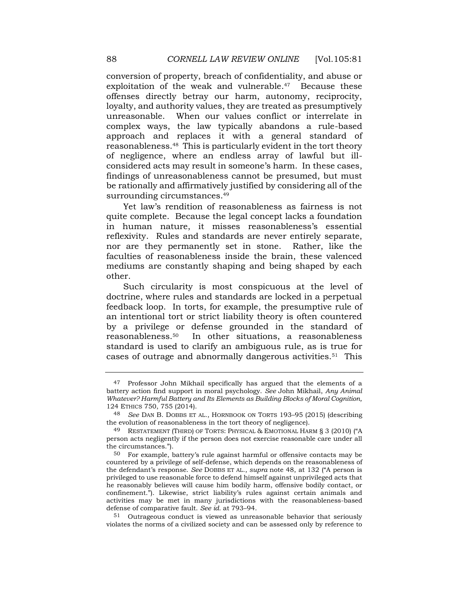conversion of property, breach of confidentiality, and abuse or exploitation of the weak and vulnerable.<sup>47</sup> Because these offenses directly betray our harm, autonomy, reciprocity, loyalty, and authority values, they are treated as presumptively unreasonable. When our values conflict or interrelate in complex ways, the law typically abandons a rule-based approach and replaces it with a general standard of [reasonableness.48](https://reasonableness.48) This is particularly evident in the tort theory of negligence, where an endless array of lawful but ill- considered acts may result in someone's harm. In these cases, findings of unreasonableness cannot be presumed, but must be rationally and affirmatively justified by considering all of the surrounding circumstances.<sup>49</sup>

<span id="page-7-0"></span> Yet law's rendition of reasonableness as fairness is not quite complete. Because the legal concept lacks a foundation in human nature, it misses reasonableness's essential reflexivity. Rules and standards are never entirely separate, nor are they permanently set in stone. Rather, like the faculties of reasonableness inside the brain, these valenced mediums are constantly shaping and being shaped by each other.

 Such circularity is most conspicuous at the level of doctrine, where rules and standards are locked in a perpetual feedback loop. In torts, for example, the presumptive rule of an intentional tort or strict liability theory is often countered by a privilege or defense grounded in the standard of [reasonableness.50](https://reasonableness.50) In other situations, a reasonableness standard is used to clarify an ambiguous rule, as is true for cases of outrage and abnormally dangerous [activities.51](https://activities.51) This

 violates the norms of a civilized society and can be assessed only by reference to 51 Outrageous conduct is viewed as unreasonable behavior that seriously

<sup>&</sup>lt;sup>47</sup> Professor John Mikhail specifically has argued that the elements of a  battery action find support in moral psychology. *See* John Mikhail, *Any Animal Whatever? Harmful Battery and Its Elements as Building Blocks of Moral Cognition,*  124 ETHICS 750, 755 (2014).

 the evolution of reasonableness in the tort theory of negligence). 48 *See* DAN B. DOBBS ET AL., HORNBOOK ON TORTS 193–95 (2015) (describing

 person acts negligently if the person does not exercise reasonable care under all 49 RESTATEMENT (THIRD) OF TORTS: PHYSICAL & EMOTIONAL HARM § 3 (2010) ("A the circumstances.").

 $50$  For example, battery's rule against harmful or offensive contacts may be countered by a privilege of self-defense, which depends on the reasonableness of the defendant's response. *See* DOBBS ET AL., *supra* note [48,](#page-7-0) at 132 ("A person is privileged to use reasonable force to defend himself against unprivileged acts that he reasonably believes will cause him bodily harm, offensive bodily contact, or confinement."). Likewise, strict liability's rules against certain animals and activities may be met in many jurisdictions with the reasonableness-based defense of comparative fault. *See id.* at 793–94.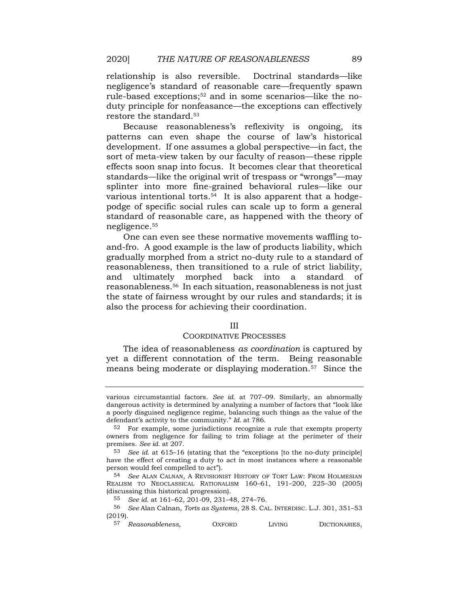negligence's standard of reasonable care—frequently spawn rule-based exceptions;52 and in some scenarios—like the no- duty principle for nonfeasance—the exceptions can effectively restore the standard.<sup>53</sup> relationship is also reversible. Doctrinal standards—like

 Because reasonableness's reflexivity is ongoing, its patterns can even shape the course of law's historical development. If one assumes a global perspective—in fact, the sort of meta-view taken by our faculty of reason—these ripple effects soon snap into focus. It becomes clear that theoretical standards—like the original writ of trespass or "wrongs"—may splinter into more fine-grained behavioral rules—like our podge of specific social rules can scale up to form a general standard of reasonable care, as happened with the theory of various intentional torts.<sup>54</sup> It is also apparent that a hodge[negligence.55](https://negligence.55)

 One can even see these normative movements waffling to- and-fro. A good example is the law of products liability, which gradually morphed from a strict no-duty rule to a standard of reasonableness, then transitioned to a rule of strict liability, and ultimately morphed back into a standard of [reasonableness.56](https://reasonableness.56) In each situation, reasonableness is not just the state of fairness wrought by our rules and standards; it is also the process for achieving their coordination.

#### III

#### COORDINATIVE PROCESSES

 The idea of reasonableness *as coordination* is captured by yet a different connotation of the term. Being reasonable means being moderate or displaying [moderation.57](https://moderation.57) Since the

 various circumstantial factors. *See id.* at 707–09. Similarly, an abnormally dangerous activity is determined by analyzing a number of factors that "look like a poorly disguised negligence regime, balancing such things as the value of the defendant's activity to the community." *Id.* at 786.

 $52$  For example, some jurisdictions recognize a rule that exempts property owners from negligence for failing to trim foliage at the perimeter of their  premises. *See id.* at 207.

 53 *See id.* at 615–16 (stating that the "exceptions [to the no-duty principle] have the effect of creating a duty to act in most instances where a reasonable person would feel compelled to act").

 REALISM TO NEOCLASSICAL RATIONALISM 160–61, 191–200, 225–30 (2005) 54 *See* ALAN CALNAN, A REVISIONIST HISTORY OF TORT LAW: FROM HOLMESIAN (discussing this historical progression).

 55 *See id.* at 161–62, 201-09, 231–48, 274–76.

 56 *See* Alan Calnan, *Torts as Systems*, 28 S. CAL. INTERDISC. L.J. 301, 351–53 (2019).

<sup>57</sup> *Reasonableness,* OXFORD LIVING DICTIONARIES,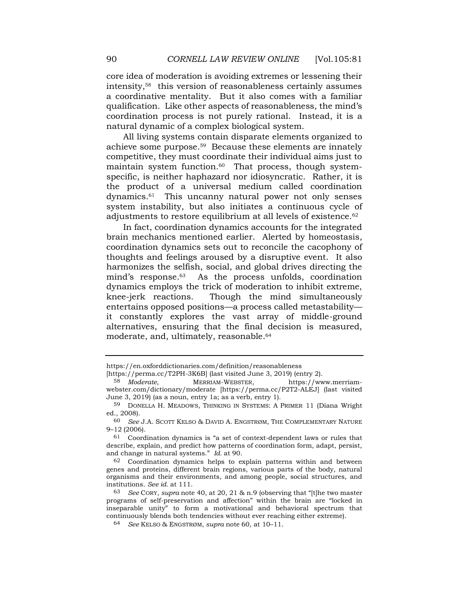core idea of moderation is avoiding extremes or lessening their intensity,58 this version of reasonableness certainly assumes a coordinative mentality. But it also comes with a familiar qualification. Like other aspects of reasonableness, the mind's coordination process is not purely rational. Instead, it is a natural dynamic of a complex biological system.

<span id="page-9-0"></span> All living systems contain disparate elements organized to achieve some purpose.<sup>59</sup> Because these elements are innately competitive, they must coordinate their individual aims just to maintain system function.<sup>60</sup> That process, though system- specific, is neither haphazard nor idiosyncratic. Rather, it is the product of a universal medium called coordination [dynamics.61](https://dynamics.61) This uncanny natural power not only senses system instability, but also initiates a continuous cycle of adjustments to restore equilibrium at all levels of existence.<sup>62</sup>

 In fact, coordination dynamics accounts for the integrated coordination dynamics sets out to reconcile the cacophony of thoughts and feelings aroused by a disruptive event. It also harmonizes the selfish, social, and global drives directing the dynamics employs the trick of moderation to inhibit extreme, it constantly explores the vast array of middle-ground alternatives, ensuring that the final decision is measured, moderate, and, ultimately, [reasonable.64](https://reasonable.64)  brain mechanics mentioned earlier. Alerted by homeostasis, mind's [response.](https://response.63)<sup>63</sup> As the process unfolds, coordination knee-jerk reactions. Though the mind simultaneously entertains opposed positions—a process called metastability—

[\[https://perma.cc/T2PH-3K6B](https://perma.cc/T2PH-3K6B)] (last visited June 3, 2019) (entry 2).

<https://en.oxforddictionaries.com/definition/reasonableness>

 June 3, 2019) (as a noun, entry 1a; as a verb, entry 1). 58 *Moderate*, **MERRIAM-WEBSTER**, <https://www.merriam>[webster.com/dictionary/moderate](https://webster.com/dictionary/moderate) [\[https://perma.cc/P2T2-ALEJ](https://perma.cc/P2T2-ALEJ)] (last visited

<sup>59</sup> DONELLA H. MEADOWS, THINKING IN SYSTEMS: A PRIMER 11 (Diana Wright ed., 2008).

<sup>60</sup> *See* J.A. SCOTT KELSO & DAVID A. ENGSTRØM, THE COMPLEMENTARY NATURE 9–12 (2006).

 $61$  Coordination dynamics is "a set of context-dependent laws or rules that describe, explain, and predict how patterns of coordination form, adapt, persist, and change in natural systems." *Id.* at 90.

 $62$  Coordination dynamics helps to explain patterns within and between genes and proteins, different brain regions, various parts of the body, natural organisms and their environments, and among people, social structures, and  institutions. *See id.* at 111.

 63 *See* CORY, *supra* note [40,](#page-5-0) at 20, 21 & n.9 (observing that "[t]he two master continuously blends both tendencies without ever reaching either extreme). programs of self-preservation and affection" within the brain are "locked in inseparable unity" to form a motivational and behavioral spectrum that

<sup>64</sup> *See* KELSO & ENGSTRØM, *supra* note [60,](#page-9-0) at 10–11.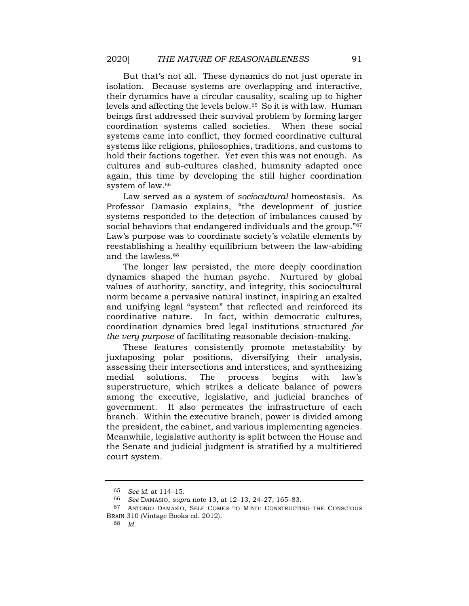But that's not all. These dynamics do not just operate in their dynamics have a circular causality, scaling up to higher levels and affecting the levels [below.65](https://below.65) So it is with law. Human beings first addressed their survival problem by forming larger coordination systems called societies. When these social systems came into conflict, they formed coordinative cultural systems like religions, philosophies, traditions, and customs to hold their factions together. Yet even this was not enough. As cultures and sub-cultures clashed, humanity adapted once again, this time by developing the still higher coordination system of law.<sup>66</sup> isolation. Because systems are overlapping and interactive,

 Law served as a system of *sociocultural* homeostasis. As Professor Damasio explains, "the development of justice systems responded to the detection of imbalances caused by Law's purpose was to coordinate society's volatile elements by reestablishing a healthy equilibrium between the law-abiding social behaviors that endangered individuals and the group."<sup>67</sup> and the [lawless.68](https://lawless.68) 

 The longer law persisted, the more deeply coordination dynamics shaped the human psyche. Nurtured by global values of authority, sanctity, and integrity, this sociocultural norm became a pervasive natural instinct, inspiring an exalted and unifying legal "system" that reflected and reinforced its coordinative nature. In fact, within democratic cultures,  *the very purpose* of facilitating reasonable decision-making. coordination dynamics bred legal institutions structured *for* 

 These features consistently promote metastability by juxtaposing polar positions, diversifying their analysis, assessing their intersections and interstices, and synthesizing medial solutions. The process begins with law's superstructure, which strikes a delicate balance of powers among the executive, legislative, and judicial branches of government. It also permeates the infrastructure of each branch. Within the executive branch, power is divided among the president, the cabinet, and various implementing agencies. Meanwhile, legislative authority is split between the House and the Senate and judicial judgment is stratified by a multitiered court system.

 65 *See id.* at 114–15.

<sup>66</sup> *See* DAMASIO, *supra* note [13,](#page-2-1) at 12–13, 24–27, 165–83.

 67 ANTONIO DAMASIO, SELF COMES TO MIND: CONSTRUCTING THE CONSCIOUS BRAIN 310 (Vintage Books ed. 2012).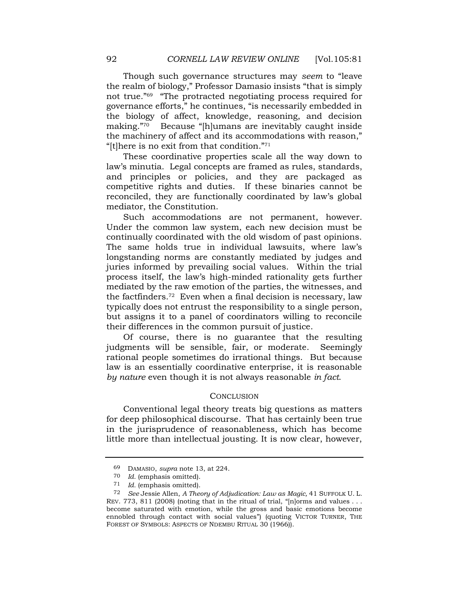Though such governance structures may *seem* to "leave the realm of biology," Professor Damasio insists "that is simply the biology of affect, knowledge, reasoning, and decision making."70 Because "[h]umans are inevitably caught inside the machinery of affect and its accommodations with reason," "[t] here is no exit from that condition." $71$ not true."69 "The protracted negotiating process required for governance efforts," he continues, "is necessarily embedded in

 These coordinative properties scale all the way down to law's minutia. Legal concepts are framed as rules, standards, and principles or policies, and they are packaged as competitive rights and duties. If these binaries cannot be reconciled, they are functionally coordinated by law's global mediator, the Constitution.

 Such accommodations are not permanent, however. Under the common law system, each new decision must be continually coordinated with the old wisdom of past opinions. The same holds true in individual lawsuits, where law's longstanding norms are constantly mediated by judges and juries informed by prevailing social values. Within the trial process itself, the law's high-minded rationality gets further mediated by the raw emotion of the parties, the witnesses, and the [factfinders.72](https://factfinders.72) Even when a final decision is necessary, law typically does not entrust the responsibility to a single person, but assigns it to a panel of coordinators willing to reconcile their differences in the common pursuit of justice.

 Of course, there is no guarantee that the resulting judgments will be sensible, fair, or moderate. Seemingly rational people sometimes do irrational things. But because *by nature* even though it is not always reasonable *in fact*. law is an essentially coordinative enterprise, it is reasonable

# **CONCLUSION**

 Conventional legal theory treats big questions as matters for deep philosophical discourse. That has certainly been true in the jurisprudence of reasonableness, which has become little more than intellectual jousting. It is now clear, however,

 69 DAMASIO, *supra* note [13,](#page-2-1) at 224.

<sup>70</sup> *Id.* (emphasis omitted).

<sup>71</sup> *Id.* (emphasis omitted).

 72 *See* Jessie Allen, *A Theory of Adjudication: Law as Magic,* 41 SUFFOLK U. L. REV. 773, 811 (2008) (noting that in the ritual of trial, " $[n]$ orms and values ... become saturated with emotion, while the gross and basic emotions become ennobled through contact with social values") (quoting VICTOR TURNER, THE FOREST OF SYMBOLS: ASPECTS OF NDEMBU RITUAL 30 (1966)).